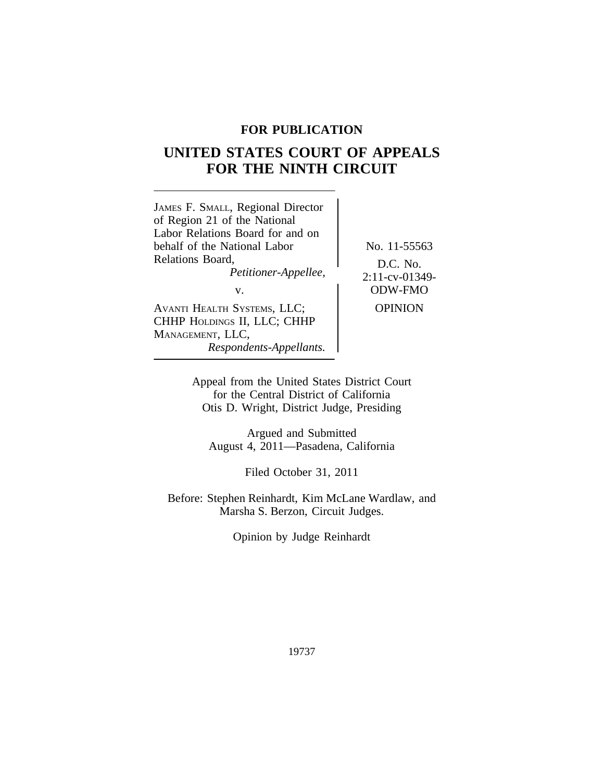## **FOR PUBLICATION**

# **UNITED STATES COURT OF APPEALS FOR THE NINTH CIRCUIT**

|--|

Appeal from the United States District Court for the Central District of California Otis D. Wright, District Judge, Presiding

Argued and Submitted August 4, 2011—Pasadena, California

Filed October 31, 2011

Before: Stephen Reinhardt, Kim McLane Wardlaw, and Marsha S. Berzon, Circuit Judges.

Opinion by Judge Reinhardt

19737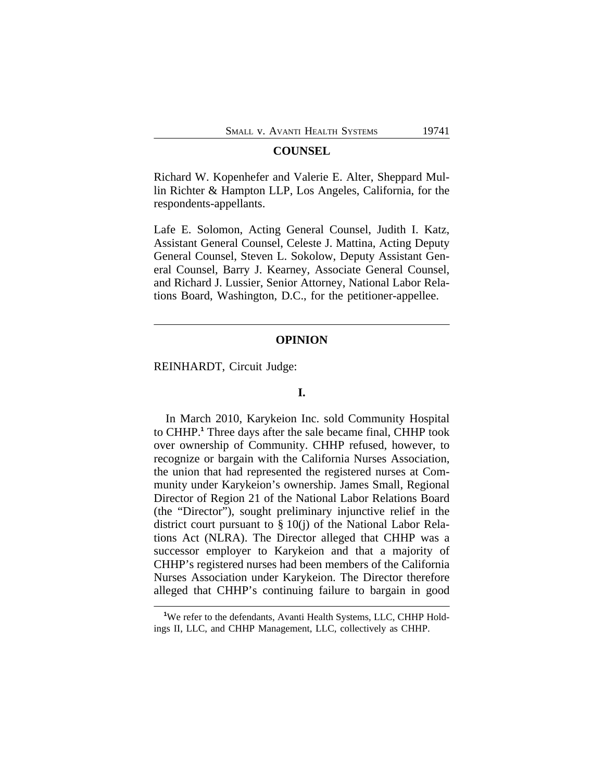#### **COUNSEL**

Richard W. Kopenhefer and Valerie E. Alter, Sheppard Mullin Richter & Hampton LLP, Los Angeles, California, for the respondents-appellants.

Lafe E. Solomon, Acting General Counsel, Judith I. Katz, Assistant General Counsel, Celeste J. Mattina, Acting Deputy General Counsel, Steven L. Sokolow, Deputy Assistant General Counsel, Barry J. Kearney, Associate General Counsel, and Richard J. Lussier, Senior Attorney, National Labor Relations Board, Washington, D.C., for the petitioner-appellee.

#### **OPINION**

REINHARDT, Circuit Judge:

## **I.**

In March 2010, Karykeion Inc. sold Community Hospital to CHHP.**<sup>1</sup>** Three days after the sale became final, CHHP took over ownership of Community. CHHP refused, however, to recognize or bargain with the California Nurses Association, the union that had represented the registered nurses at Community under Karykeion's ownership. James Small, Regional Director of Region 21 of the National Labor Relations Board (the "Director"), sought preliminary injunctive relief in the district court pursuant to § 10(j) of the National Labor Relations Act (NLRA). The Director alleged that CHHP was a successor employer to Karykeion and that a majority of CHHP's registered nurses had been members of the California Nurses Association under Karykeion. The Director therefore alleged that CHHP's continuing failure to bargain in good

<sup>&</sup>lt;sup>1</sup>We refer to the defendants, Avanti Health Systems, LLC, CHHP Holdings II, LLC, and CHHP Management, LLC, collectively as CHHP.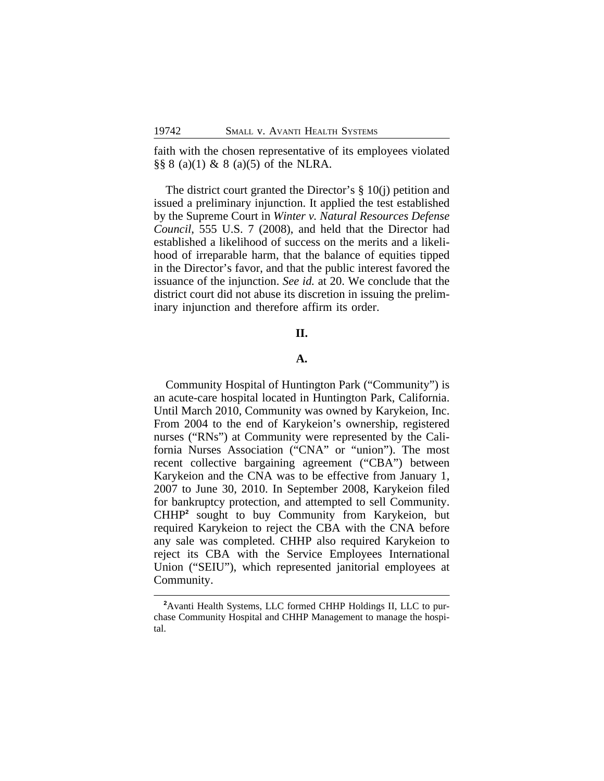faith with the chosen representative of its employees violated  $\S$ § 8 (a)(1) & 8 (a)(5) of the NLRA.

The district court granted the Director's § 10(j) petition and issued a preliminary injunction. It applied the test established by the Supreme Court in *Winter v. Natural Resources Defense Council*, 555 U.S. 7 (2008), and held that the Director had established a likelihood of success on the merits and a likelihood of irreparable harm, that the balance of equities tipped in the Director's favor, and that the public interest favored the issuance of the injunction. *See id.* at 20. We conclude that the district court did not abuse its discretion in issuing the preliminary injunction and therefore affirm its order.

## **II.**

#### **A.**

Community Hospital of Huntington Park ("Community") is an acute-care hospital located in Huntington Park, California. Until March 2010, Community was owned by Karykeion, Inc. From 2004 to the end of Karykeion's ownership, registered nurses ("RNs") at Community were represented by the California Nurses Association ("CNA" or "union"). The most recent collective bargaining agreement ("CBA") between Karykeion and the CNA was to be effective from January 1, 2007 to June 30, 2010. In September 2008, Karykeion filed for bankruptcy protection, and attempted to sell Community. CHHP**<sup>2</sup>** sought to buy Community from Karykeion, but required Karykeion to reject the CBA with the CNA before any sale was completed. CHHP also required Karykeion to reject its CBA with the Service Employees International Union ("SEIU"), which represented janitorial employees at Community.

**<sup>2</sup>**Avanti Health Systems, LLC formed CHHP Holdings II, LLC to purchase Community Hospital and CHHP Management to manage the hospital.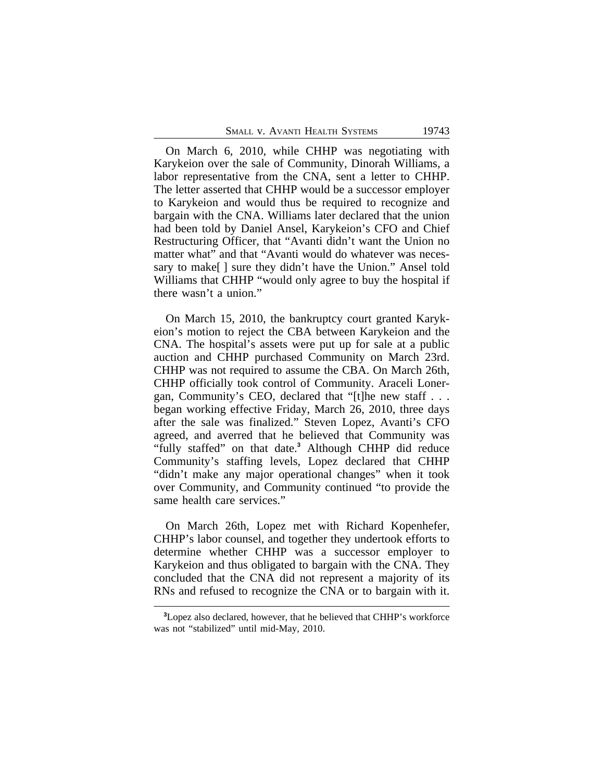On March 6, 2010, while CHHP was negotiating with Karykeion over the sale of Community, Dinorah Williams, a labor representative from the CNA, sent a letter to CHHP. The letter asserted that CHHP would be a successor employer to Karykeion and would thus be required to recognize and bargain with the CNA. Williams later declared that the union had been told by Daniel Ansel, Karykeion's CFO and Chief Restructuring Officer, that "Avanti didn't want the Union no matter what" and that "Avanti would do whatever was necessary to make  $\lceil \cdot \rceil$  sure they didn't have the Union." Ansel told Williams that CHHP "would only agree to buy the hospital if there wasn't a union."

On March 15, 2010, the bankruptcy court granted Karykeion's motion to reject the CBA between Karykeion and the CNA. The hospital's assets were put up for sale at a public auction and CHHP purchased Community on March 23rd. CHHP was not required to assume the CBA. On March 26th, CHHP officially took control of Community. Araceli Lonergan, Community's CEO, declared that "[t]he new staff . . . began working effective Friday, March 26, 2010, three days after the sale was finalized." Steven Lopez, Avanti's CFO agreed, and averred that he believed that Community was "fully staffed" on that date.**<sup>3</sup>** Although CHHP did reduce Community's staffing levels, Lopez declared that CHHP "didn't make any major operational changes" when it took over Community, and Community continued "to provide the same health care services."

On March 26th, Lopez met with Richard Kopenhefer, CHHP's labor counsel, and together they undertook efforts to determine whether CHHP was a successor employer to Karykeion and thus obligated to bargain with the CNA. They concluded that the CNA did not represent a majority of its RNs and refused to recognize the CNA or to bargain with it.

**<sup>3</sup>**Lopez also declared, however, that he believed that CHHP's workforce was not "stabilized" until mid-May, 2010.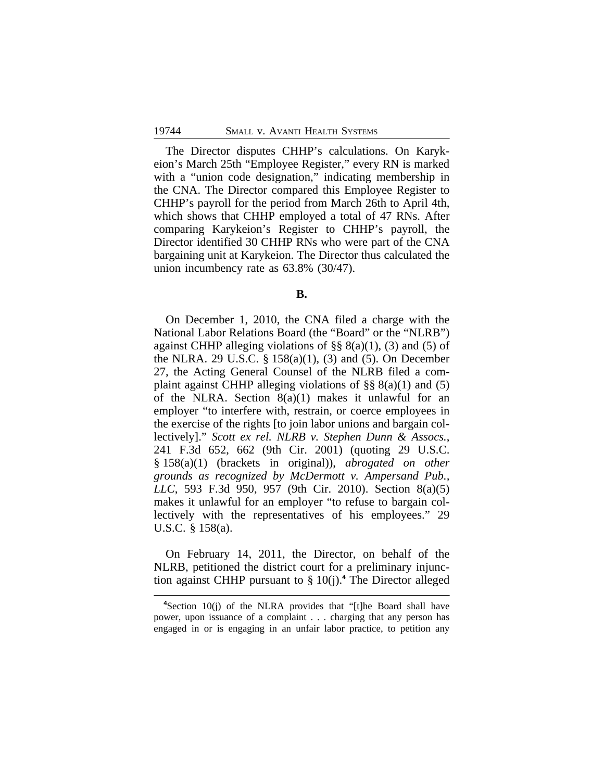The Director disputes CHHP's calculations. On Karykeion's March 25th "Employee Register," every RN is marked with a "union code designation," indicating membership in the CNA. The Director compared this Employee Register to CHHP's payroll for the period from March 26th to April 4th, which shows that CHHP employed a total of 47 RNs. After comparing Karykeion's Register to CHHP's payroll, the Director identified 30 CHHP RNs who were part of the CNA bargaining unit at Karykeion. The Director thus calculated the union incumbency rate as 63.8% (30/47).

**B.**

On December 1, 2010, the CNA filed a charge with the National Labor Relations Board (the "Board" or the "NLRB") against CHHP alleging violations of  $\S$ §  $8(a)(1)$ , (3) and (5) of the NLRA. 29 U.S.C. § 158(a)(1), (3) and (5). On December 27, the Acting General Counsel of the NLRB filed a complaint against CHHP alleging violations of  $\S\S 8(a)(1)$  and (5) of the NLRA. Section  $8(a)(1)$  makes it unlawful for an employer "to interfere with, restrain, or coerce employees in the exercise of the rights [to join labor unions and bargain collectively]." *Scott ex rel. NLRB v. Stephen Dunn & Assocs.*, 241 F.3d 652, 662 (9th Cir. 2001) (quoting 29 U.S.C. § 158(a)(1) (brackets in original)), *abrogated on other grounds as recognized by McDermott v. Ampersand Pub., LLC*, 593 F.3d 950, 957 (9th Cir. 2010). Section 8(a)(5) makes it unlawful for an employer "to refuse to bargain collectively with the representatives of his employees." 29 U.S.C. § 158(a).

On February 14, 2011, the Director, on behalf of the NLRB, petitioned the district court for a preliminary injunction against CHHP pursuant to § 10(j).**<sup>4</sup>** The Director alleged

**<sup>4</sup>**Section 10(j) of the NLRA provides that "[t]he Board shall have power, upon issuance of a complaint . . . charging that any person has engaged in or is engaging in an unfair labor practice, to petition any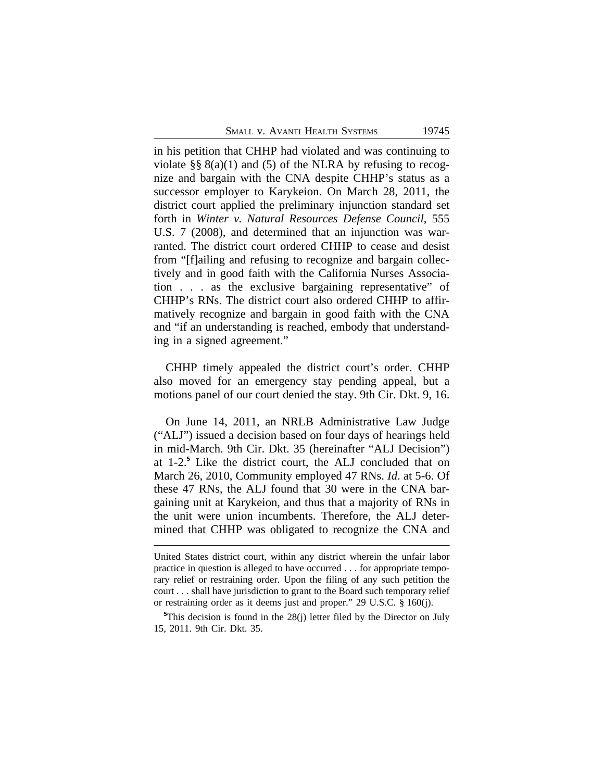SMALL V. AVANTI HEALTH SYSTEMS 19745

in his petition that CHHP had violated and was continuing to violate §§  $8(a)(1)$  and (5) of the NLRA by refusing to recognize and bargain with the CNA despite CHHP's status as a successor employer to Karykeion. On March 28, 2011, the district court applied the preliminary injunction standard set forth in *Winter v. Natural Resources Defense Council*, 555 U.S. 7 (2008), and determined that an injunction was warranted. The district court ordered CHHP to cease and desist from "[f]ailing and refusing to recognize and bargain collectively and in good faith with the California Nurses Association . . . as the exclusive bargaining representative" of CHHP's RNs. The district court also ordered CHHP to affirmatively recognize and bargain in good faith with the CNA and "if an understanding is reached, embody that understanding in a signed agreement."

CHHP timely appealed the district court's order. CHHP also moved for an emergency stay pending appeal, but a motions panel of our court denied the stay. 9th Cir. Dkt. 9, 16.

On June 14, 2011, an NRLB Administrative Law Judge ("ALJ") issued a decision based on four days of hearings held in mid-March. 9th Cir. Dkt. 35 (hereinafter "ALJ Decision") at 1-2.**<sup>5</sup>** Like the district court, the ALJ concluded that on March 26, 2010, Community employed 47 RNs. *Id*. at 5-6. Of these 47 RNs, the ALJ found that 30 were in the CNA bargaining unit at Karykeion, and thus that a majority of RNs in the unit were union incumbents. Therefore, the ALJ determined that CHHP was obligated to recognize the CNA and

United States district court, within any district wherein the unfair labor practice in question is alleged to have occurred . . . for appropriate temporary relief or restraining order. Upon the filing of any such petition the court . . . shall have jurisdiction to grant to the Board such temporary relief or restraining order as it deems just and proper." 29 U.S.C. § 160(j).

**<sup>5</sup>**This decision is found in the 28(j) letter filed by the Director on July 15, 2011. 9th Cir. Dkt. 35.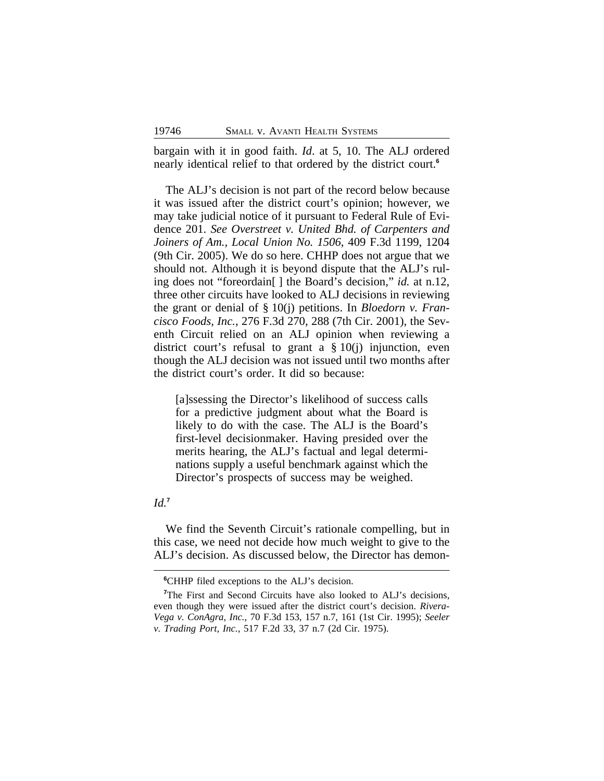bargain with it in good faith. *Id*. at 5, 10. The ALJ ordered nearly identical relief to that ordered by the district court.**<sup>6</sup>**

The ALJ's decision is not part of the record below because it was issued after the district court's opinion; however, we may take judicial notice of it pursuant to Federal Rule of Evidence 201. *See Overstreet v. United Bhd. of Carpenters and Joiners of Am., Local Union No. 1506*, 409 F.3d 1199, 1204 (9th Cir. 2005). We do so here. CHHP does not argue that we should not. Although it is beyond dispute that the ALJ's ruling does not "foreordain[ ] the Board's decision," *id.* at n.12, three other circuits have looked to ALJ decisions in reviewing the grant or denial of § 10(j) petitions. In *Bloedorn v. Francisco Foods, Inc.*, 276 F.3d 270, 288 (7th Cir. 2001), the Seventh Circuit relied on an ALJ opinion when reviewing a district court's refusal to grant a  $\S 10(i)$  injunction, even though the ALJ decision was not issued until two months after the district court's order. It did so because:

[a]ssessing the Director's likelihood of success calls for a predictive judgment about what the Board is likely to do with the case. The ALJ is the Board's first-level decisionmaker. Having presided over the merits hearing, the ALJ's factual and legal determinations supply a useful benchmark against which the Director's prospects of success may be weighed.

# *Id.***<sup>7</sup>**

We find the Seventh Circuit's rationale compelling, but in this case, we need not decide how much weight to give to the ALJ's decision. As discussed below, the Director has demon-

**<sup>6</sup>**CHHP filed exceptions to the ALJ's decision.

<sup>&</sup>lt;sup>7</sup>The First and Second Circuits have also looked to ALJ's decisions, even though they were issued after the district court's decision. *Rivera-Vega v. ConAgra, Inc.*, 70 F.3d 153, 157 n.7, 161 (1st Cir. 1995); *Seeler v. Trading Port, Inc.*, 517 F.2d 33, 37 n.7 (2d Cir. 1975).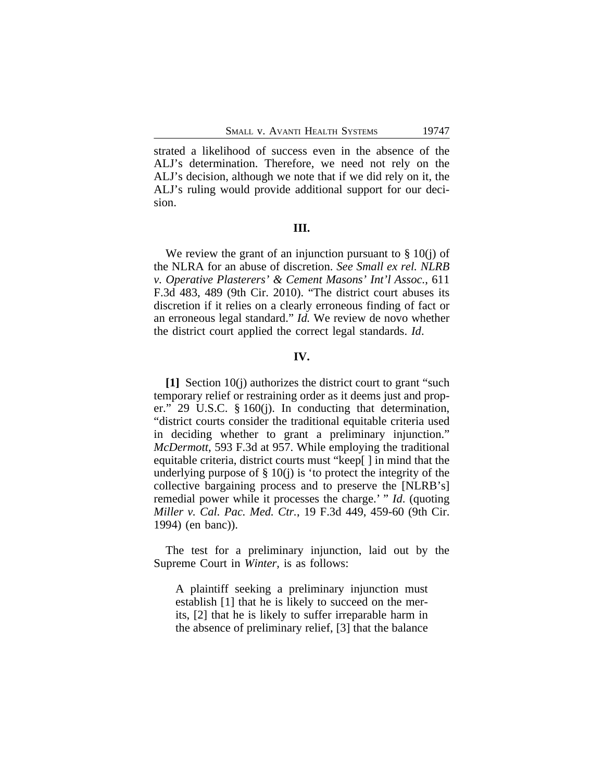strated a likelihood of success even in the absence of the ALJ's determination. Therefore, we need not rely on the ALJ's decision, although we note that if we did rely on it, the ALJ's ruling would provide additional support for our decision.

#### **III.**

We review the grant of an injunction pursuant to  $\S 10(i)$  of the NLRA for an abuse of discretion. *See Small ex rel. NLRB v. Operative Plasterers' & Cement Masons' Int'l Assoc.*, 611 F.3d 483, 489 (9th Cir. 2010). "The district court abuses its discretion if it relies on a clearly erroneous finding of fact or an erroneous legal standard." *Id.* We review de novo whether the district court applied the correct legal standards. *Id*.

### **IV.**

**[1]** Section 10(j) authorizes the district court to grant "such temporary relief or restraining order as it deems just and proper." 29 U.S.C. § 160(j). In conducting that determination, "district courts consider the traditional equitable criteria used in deciding whether to grant a preliminary injunction." *McDermott*, 593 F.3d at 957. While employing the traditional equitable criteria, district courts must "keep[ ] in mind that the underlying purpose of  $\S$  10(j) is 'to protect the integrity of the collective bargaining process and to preserve the [NLRB's] remedial power while it processes the charge.' " *Id*. (quoting *Miller v. Cal. Pac. Med. Ctr.*, 19 F.3d 449, 459-60 (9th Cir. 1994) (en banc)).

The test for a preliminary injunction, laid out by the Supreme Court in *Winter,* is as follows:

A plaintiff seeking a preliminary injunction must establish [1] that he is likely to succeed on the merits, [2] that he is likely to suffer irreparable harm in the absence of preliminary relief, [3] that the balance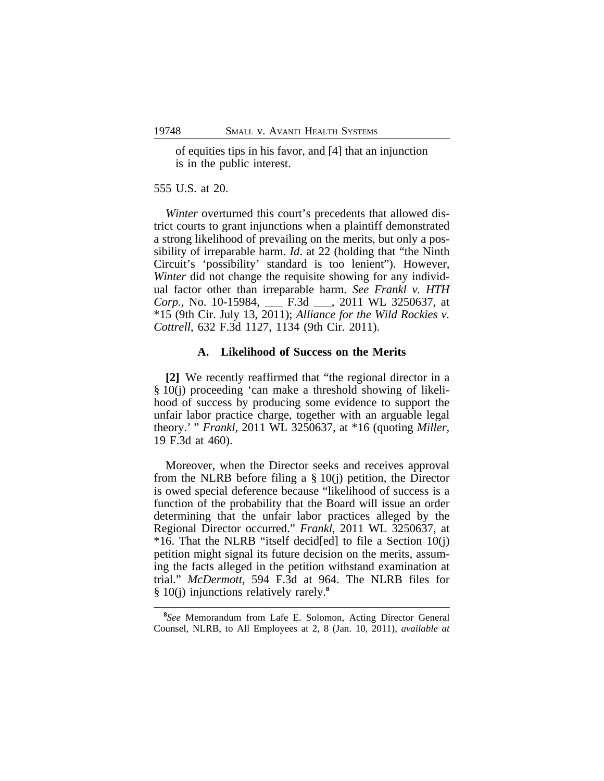of equities tips in his favor, and [4] that an injunction is in the public interest.

555 U.S. at 20.

*Winter* overturned this court's precedents that allowed district courts to grant injunctions when a plaintiff demonstrated a strong likelihood of prevailing on the merits, but only a possibility of irreparable harm. *Id*. at 22 (holding that "the Ninth Circuit's 'possibility' standard is too lenient"). However, *Winter* did not change the requisite showing for any individual factor other than irreparable harm. *See Frankl v. HTH Corp.*, No. 10-15984, \_\_\_ F.3d \_\_\_, 2011 WL 3250637, at \*15 (9th Cir. July 13, 2011); *Alliance for the Wild Rockies v. Cottrell*, 632 F.3d 1127, 1134 (9th Cir. 2011).

#### **A. Likelihood of Success on the Merits**

**[2]** We recently reaffirmed that "the regional director in a § 10(j) proceeding 'can make a threshold showing of likelihood of success by producing some evidence to support the unfair labor practice charge, together with an arguable legal theory.' " *Frankl*, 2011 WL 3250637, at \*16 (quoting *Miller*, 19 F.3d at 460).

Moreover, when the Director seeks and receives approval from the NLRB before filing a  $\S$  10(j) petition, the Director is owed special deference because "likelihood of success is a function of the probability that the Board will issue an order determining that the unfair labor practices alleged by the Regional Director occurred." *Frankl*, 2011 WL 3250637, at \*16. That the NLRB "itself decid[ed] to file a Section 10(j) petition might signal its future decision on the merits, assuming the facts alleged in the petition withstand examination at trial." *McDermott*, 594 F.3d at 964. The NLRB files for § 10(j) injunctions relatively rarely.**<sup>8</sup>**

**<sup>8</sup>** *See* Memorandum from Lafe E. Solomon, Acting Director General Counsel, NLRB, to All Employees at 2, 8 (Jan. 10, 2011), *available at*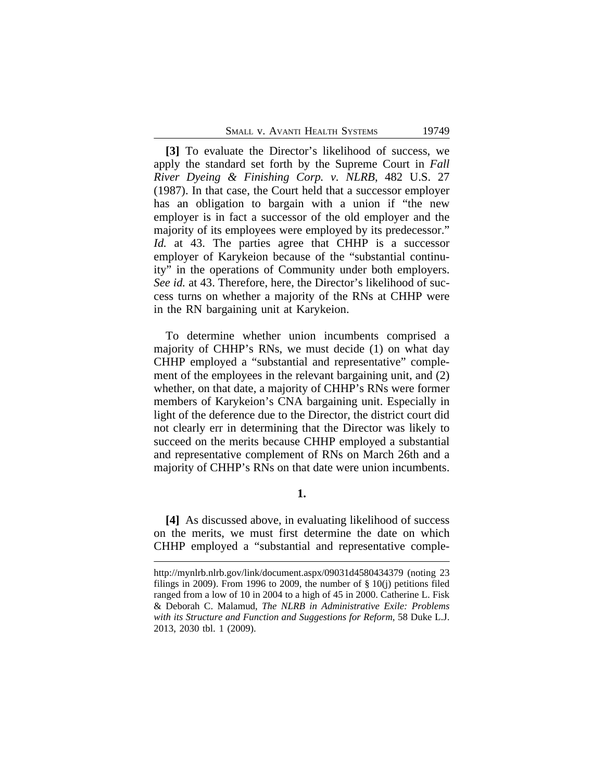| SMALL V. AVANTI HEALTH SYSTEMS |  |  |
|--------------------------------|--|--|
|                                |  |  |

**[3]** To evaluate the Director's likelihood of success, we apply the standard set forth by the Supreme Court in *Fall River Dyeing & Finishing Corp. v. NLRB*, 482 U.S. 27 (1987). In that case, the Court held that a successor employer has an obligation to bargain with a union if "the new employer is in fact a successor of the old employer and the majority of its employees were employed by its predecessor." *Id.* at 43. The parties agree that CHHP is a successor employer of Karykeion because of the "substantial continuity" in the operations of Community under both employers. *See id.* at 43. Therefore, here, the Director's likelihood of success turns on whether a majority of the RNs at CHHP were in the RN bargaining unit at Karykeion.

To determine whether union incumbents comprised a majority of CHHP's RNs, we must decide (1) on what day CHHP employed a "substantial and representative" complement of the employees in the relevant bargaining unit, and (2) whether, on that date, a majority of CHHP's RNs were former members of Karykeion's CNA bargaining unit. Especially in light of the deference due to the Director, the district court did not clearly err in determining that the Director was likely to succeed on the merits because CHHP employed a substantial and representative complement of RNs on March 26th and a majority of CHHP's RNs on that date were union incumbents.

**1.**

**[4]** As discussed above, in evaluating likelihood of success on the merits, we must first determine the date on which CHHP employed a "substantial and representative comple-

http://mynlrb.nlrb.gov/link/document.aspx/09031d4580434379 (noting 23 filings in 2009). From 1996 to 2009, the number of  $\S$  10(j) petitions filed ranged from a low of 10 in 2004 to a high of 45 in 2000. Catherine L. Fisk & Deborah C. Malamud, *The NLRB in Administrative Exile: Problems with its Structure and Function and Suggestions for Reform*, 58 Duke L.J. 2013, 2030 tbl. 1 (2009).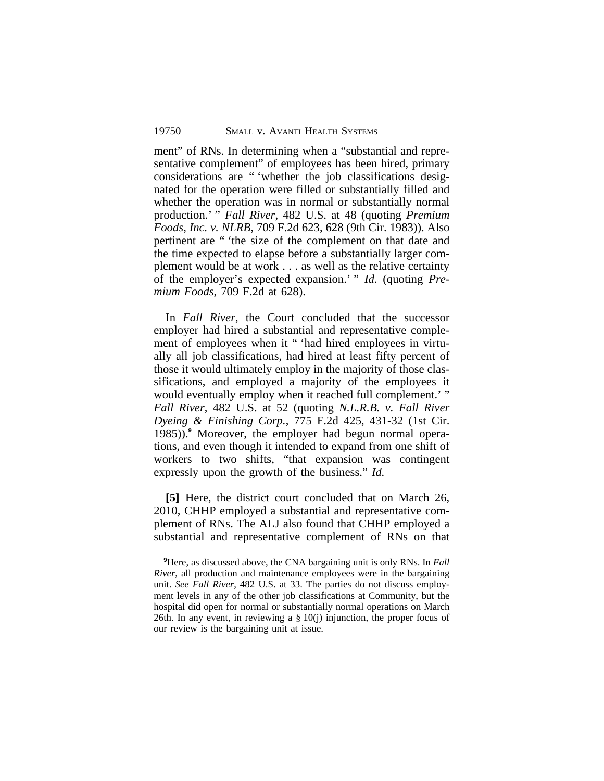ment" of RNs. In determining when a "substantial and representative complement" of employees has been hired, primary considerations are " 'whether the job classifications designated for the operation were filled or substantially filled and whether the operation was in normal or substantially normal production.' " *Fall River*, 482 U.S. at 48 (quoting *Premium Foods, Inc. v. NLRB*, 709 F.2d 623, 628 (9th Cir. 1983)). Also pertinent are " 'the size of the complement on that date and the time expected to elapse before a substantially larger complement would be at work . . . as well as the relative certainty of the employer's expected expansion.' " *Id*. (quoting *Premium Foods*, 709 F.2d at 628).

In *Fall River*, the Court concluded that the successor employer had hired a substantial and representative complement of employees when it " 'had hired employees in virtually all job classifications, had hired at least fifty percent of those it would ultimately employ in the majority of those classifications, and employed a majority of the employees it would eventually employ when it reached full complement.' " *Fall River*, 482 U.S. at 52 (quoting *N.L.R.B. v. Fall River Dyeing & Finishing Corp.*, 775 F.2d 425, 431-32 (1st Cir. 1985)).**<sup>9</sup>** Moreover, the employer had begun normal operations, and even though it intended to expand from one shift of workers to two shifts, "that expansion was contingent expressly upon the growth of the business." *Id.*

**[5]** Here, the district court concluded that on March 26, 2010, CHHP employed a substantial and representative complement of RNs. The ALJ also found that CHHP employed a substantial and representative complement of RNs on that

**<sup>9</sup>**Here, as discussed above, the CNA bargaining unit is only RNs. In *Fall River*, all production and maintenance employees were in the bargaining unit. *See Fall River*, 482 U.S. at 33. The parties do not discuss employment levels in any of the other job classifications at Community, but the hospital did open for normal or substantially normal operations on March 26th. In any event, in reviewing a  $\S 10(j)$  injunction, the proper focus of our review is the bargaining unit at issue.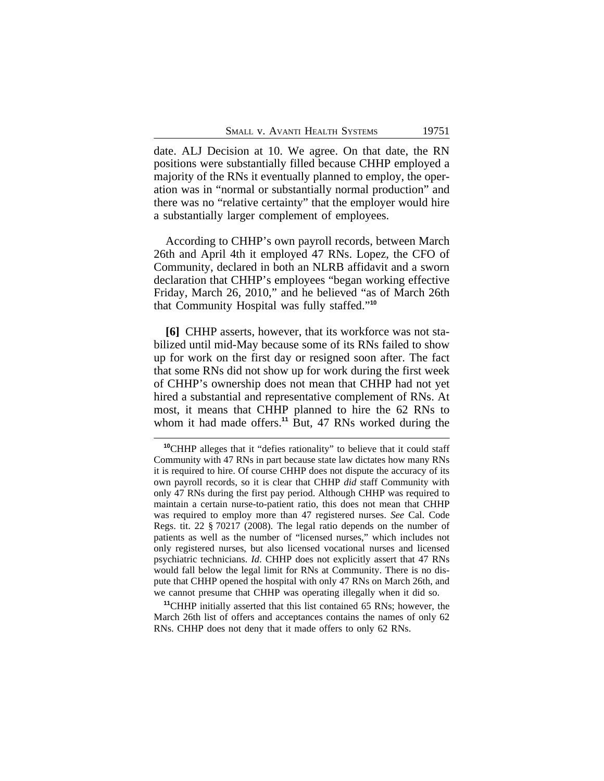date. ALJ Decision at 10. We agree. On that date, the RN positions were substantially filled because CHHP employed a majority of the RNs it eventually planned to employ, the operation was in "normal or substantially normal production" and there was no "relative certainty" that the employer would hire a substantially larger complement of employees.

According to CHHP's own payroll records, between March 26th and April 4th it employed 47 RNs. Lopez, the CFO of Community, declared in both an NLRB affidavit and a sworn declaration that CHHP's employees "began working effective Friday, March 26, 2010," and he believed "as of March 26th that Community Hospital was fully staffed." **10**

**[6]** CHHP asserts, however, that its workforce was not stabilized until mid-May because some of its RNs failed to show up for work on the first day or resigned soon after. The fact that some RNs did not show up for work during the first week of CHHP's ownership does not mean that CHHP had not yet hired a substantial and representative complement of RNs. At most, it means that CHHP planned to hire the 62 RNs to whom it had made offers.<sup>11</sup> But, 47 RNs worked during the

**<sup>10</sup>**CHHP alleges that it "defies rationality" to believe that it could staff Community with 47 RNs in part because state law dictates how many RNs it is required to hire. Of course CHHP does not dispute the accuracy of its own payroll records, so it is clear that CHHP *did* staff Community with only 47 RNs during the first pay period. Although CHHP was required to maintain a certain nurse-to-patient ratio, this does not mean that CHHP was required to employ more than 47 registered nurses. *See* Cal. Code Regs. tit. 22 § 70217 (2008). The legal ratio depends on the number of patients as well as the number of "licensed nurses," which includes not only registered nurses, but also licensed vocational nurses and licensed psychiatric technicians. *Id*. CHHP does not explicitly assert that 47 RNs would fall below the legal limit for RNs at Community. There is no dispute that CHHP opened the hospital with only 47 RNs on March 26th, and we cannot presume that CHHP was operating illegally when it did so.

**<sup>11</sup>**CHHP initially asserted that this list contained 65 RNs; however, the March 26th list of offers and acceptances contains the names of only 62 RNs. CHHP does not deny that it made offers to only 62 RNs.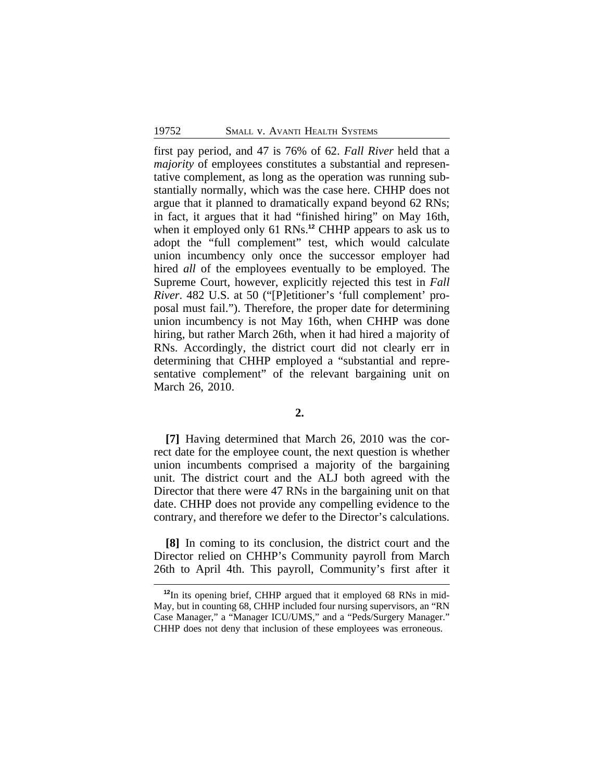first pay period, and 47 is 76% of 62. *Fall River* held that a *majority* of employees constitutes a substantial and representative complement, as long as the operation was running substantially normally, which was the case here. CHHP does not argue that it planned to dramatically expand beyond 62 RNs; in fact, it argues that it had "finished hiring" on May 16th, when it employed only 61 RNs.**<sup>12</sup>** CHHP appears to ask us to adopt the "full complement" test, which would calculate union incumbency only once the successor employer had hired *all* of the employees eventually to be employed. The Supreme Court, however, explicitly rejected this test in *Fall River*. 482 U.S. at 50 ("[P]etitioner's 'full complement' proposal must fail."). Therefore, the proper date for determining union incumbency is not May 16th, when CHHP was done hiring, but rather March 26th, when it had hired a majority of RNs. Accordingly, the district court did not clearly err in determining that CHHP employed a "substantial and representative complement" of the relevant bargaining unit on March 26, 2010.

## **2.**

**[7]** Having determined that March 26, 2010 was the correct date for the employee count, the next question is whether union incumbents comprised a majority of the bargaining unit. The district court and the ALJ both agreed with the Director that there were 47 RNs in the bargaining unit on that date. CHHP does not provide any compelling evidence to the contrary, and therefore we defer to the Director's calculations.

**[8]** In coming to its conclusion, the district court and the Director relied on CHHP's Community payroll from March 26th to April 4th. This payroll, Community's first after it

**<sup>12</sup>**In its opening brief, CHHP argued that it employed 68 RNs in mid-May, but in counting 68, CHHP included four nursing supervisors, an "RN Case Manager," a "Manager ICU/UMS," and a "Peds/Surgery Manager." CHHP does not deny that inclusion of these employees was erroneous.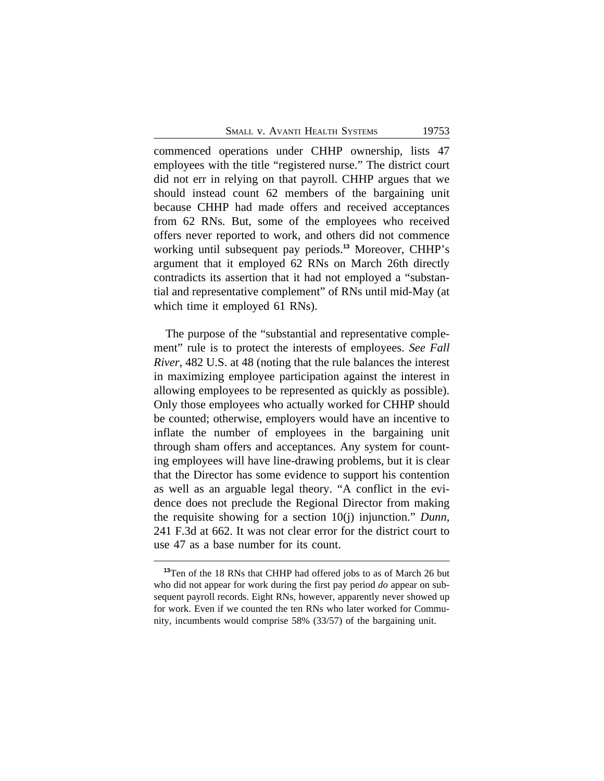SMALL V. AVANTI HEALTH SYSTEMS 19753

commenced operations under CHHP ownership, lists 47 employees with the title "registered nurse." The district court did not err in relying on that payroll. CHHP argues that we should instead count 62 members of the bargaining unit because CHHP had made offers and received acceptances from 62 RNs. But, some of the employees who received offers never reported to work, and others did not commence working until subsequent pay periods.**<sup>13</sup>** Moreover, CHHP's argument that it employed 62 RNs on March 26th directly contradicts its assertion that it had not employed a "substantial and representative complement" of RNs until mid-May (at which time it employed 61 RNs).

The purpose of the "substantial and representative complement" rule is to protect the interests of employees. *See Fall River*, 482 U.S. at 48 (noting that the rule balances the interest in maximizing employee participation against the interest in allowing employees to be represented as quickly as possible). Only those employees who actually worked for CHHP should be counted; otherwise, employers would have an incentive to inflate the number of employees in the bargaining unit through sham offers and acceptances. Any system for counting employees will have line-drawing problems, but it is clear that the Director has some evidence to support his contention as well as an arguable legal theory. "A conflict in the evidence does not preclude the Regional Director from making the requisite showing for a section 10(j) injunction." *Dunn*, 241 F.3d at 662. It was not clear error for the district court to use 47 as a base number for its count.

**<sup>13</sup>**Ten of the 18 RNs that CHHP had offered jobs to as of March 26 but who did not appear for work during the first pay period *do* appear on subsequent payroll records. Eight RNs, however, apparently never showed up for work. Even if we counted the ten RNs who later worked for Community, incumbents would comprise 58% (33/57) of the bargaining unit.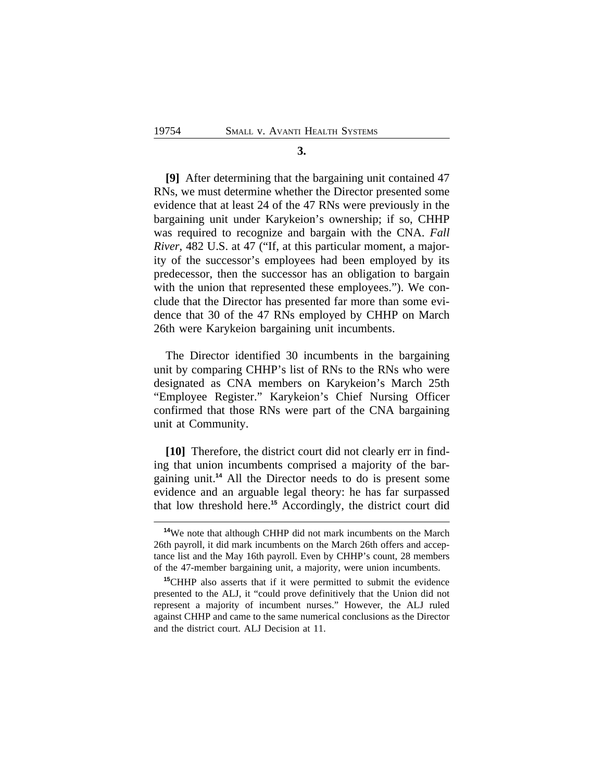#### **3.**

**[9]** After determining that the bargaining unit contained 47 RNs, we must determine whether the Director presented some evidence that at least 24 of the 47 RNs were previously in the bargaining unit under Karykeion's ownership; if so, CHHP was required to recognize and bargain with the CNA. *Fall River*, 482 U.S. at 47 ("If, at this particular moment, a majority of the successor's employees had been employed by its predecessor, then the successor has an obligation to bargain with the union that represented these employees."). We conclude that the Director has presented far more than some evidence that 30 of the 47 RNs employed by CHHP on March 26th were Karykeion bargaining unit incumbents.

The Director identified 30 incumbents in the bargaining unit by comparing CHHP's list of RNs to the RNs who were designated as CNA members on Karykeion's March 25th "Employee Register." Karykeion's Chief Nursing Officer confirmed that those RNs were part of the CNA bargaining unit at Community.

**[10]** Therefore, the district court did not clearly err in finding that union incumbents comprised a majority of the bargaining unit.**<sup>14</sup>** All the Director needs to do is present some evidence and an arguable legal theory: he has far surpassed that low threshold here.**<sup>15</sup>** Accordingly, the district court did

**<sup>14</sup>**We note that although CHHP did not mark incumbents on the March 26th payroll, it did mark incumbents on the March 26th offers and acceptance list and the May 16th payroll. Even by CHHP's count, 28 members of the 47-member bargaining unit, a majority, were union incumbents.

**<sup>15</sup>**CHHP also asserts that if it were permitted to submit the evidence presented to the ALJ, it "could prove definitively that the Union did not represent a majority of incumbent nurses." However, the ALJ ruled against CHHP and came to the same numerical conclusions as the Director and the district court. ALJ Decision at 11.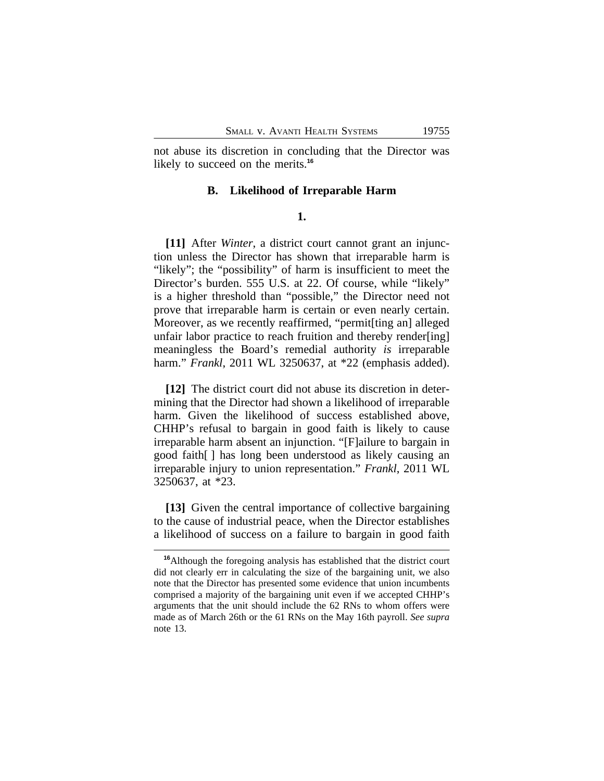not abuse its discretion in concluding that the Director was likely to succeed on the merits.**<sup>16</sup>**

#### **B. Likelihood of Irreparable Harm**

## **1.**

**[11]** After *Winter*, a district court cannot grant an injunction unless the Director has shown that irreparable harm is "likely"; the "possibility" of harm is insufficient to meet the Director's burden. 555 U.S. at 22. Of course, while "likely" is a higher threshold than "possible," the Director need not prove that irreparable harm is certain or even nearly certain. Moreover, as we recently reaffirmed, "permit[ting an] alleged unfair labor practice to reach fruition and thereby render[ing] meaningless the Board's remedial authority *is* irreparable harm." *Frankl*, 2011 WL 3250637, at \*22 (emphasis added).

**[12]** The district court did not abuse its discretion in determining that the Director had shown a likelihood of irreparable harm. Given the likelihood of success established above, CHHP's refusal to bargain in good faith is likely to cause irreparable harm absent an injunction. "[F]ailure to bargain in good faith[ ] has long been understood as likely causing an irreparable injury to union representation." *Frankl*, 2011 WL 3250637, at \*23.

**[13]** Given the central importance of collective bargaining to the cause of industrial peace, when the Director establishes a likelihood of success on a failure to bargain in good faith

**<sup>16</sup>**Although the foregoing analysis has established that the district court did not clearly err in calculating the size of the bargaining unit, we also note that the Director has presented some evidence that union incumbents comprised a majority of the bargaining unit even if we accepted CHHP's arguments that the unit should include the 62 RNs to whom offers were made as of March 26th or the 61 RNs on the May 16th payroll. *See supra* note 13.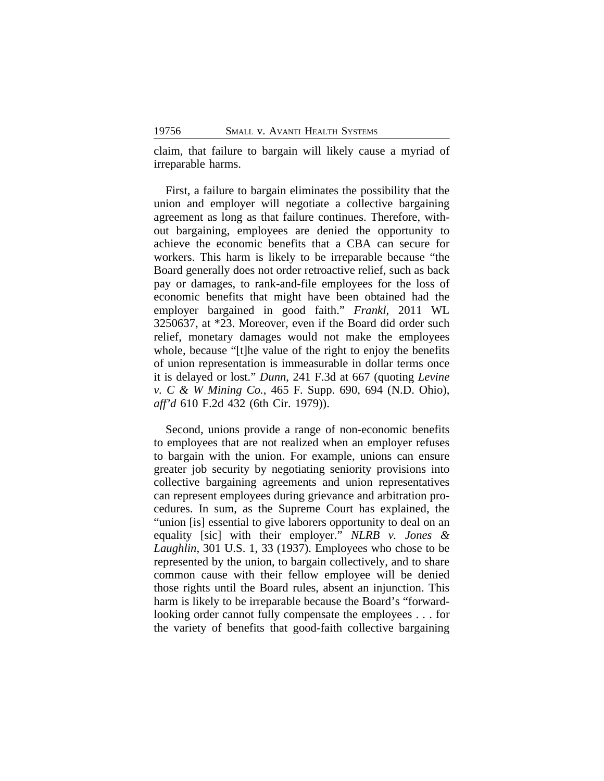claim, that failure to bargain will likely cause a myriad of irreparable harms.

First, a failure to bargain eliminates the possibility that the union and employer will negotiate a collective bargaining agreement as long as that failure continues. Therefore, without bargaining, employees are denied the opportunity to achieve the economic benefits that a CBA can secure for workers. This harm is likely to be irreparable because "the Board generally does not order retroactive relief, such as back pay or damages, to rank-and-file employees for the loss of economic benefits that might have been obtained had the employer bargained in good faith." *Frankl*, 2011 WL 3250637, at \*23. Moreover, even if the Board did order such relief, monetary damages would not make the employees whole, because "[t]he value of the right to enjoy the benefits of union representation is immeasurable in dollar terms once it is delayed or lost." *Dunn*, 241 F.3d at 667 (quoting *Levine v. C & W Mining Co.*, 465 F. Supp. 690, 694 (N.D. Ohio), *aff'd* 610 F.2d 432 (6th Cir. 1979)).

Second, unions provide a range of non-economic benefits to employees that are not realized when an employer refuses to bargain with the union. For example, unions can ensure greater job security by negotiating seniority provisions into collective bargaining agreements and union representatives can represent employees during grievance and arbitration procedures. In sum, as the Supreme Court has explained, the "union [is] essential to give laborers opportunity to deal on an equality [sic] with their employer." *NLRB v. Jones & Laughlin*, 301 U.S. 1, 33 (1937). Employees who chose to be represented by the union, to bargain collectively, and to share common cause with their fellow employee will be denied those rights until the Board rules, absent an injunction. This harm is likely to be irreparable because the Board's "forwardlooking order cannot fully compensate the employees . . . for the variety of benefits that good-faith collective bargaining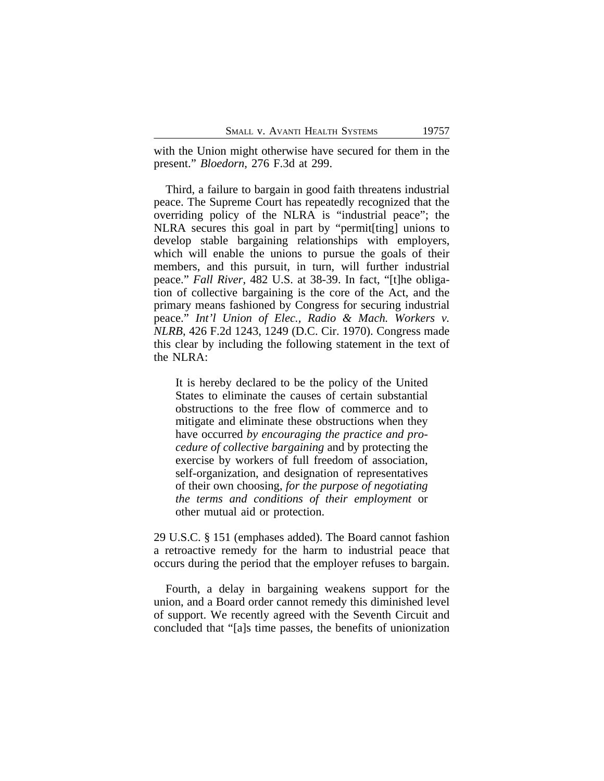with the Union might otherwise have secured for them in the present." *Bloedorn*, 276 F.3d at 299.

Third, a failure to bargain in good faith threatens industrial peace. The Supreme Court has repeatedly recognized that the overriding policy of the NLRA is "industrial peace"; the NLRA secures this goal in part by "permit[ting] unions to develop stable bargaining relationships with employers, which will enable the unions to pursue the goals of their members, and this pursuit, in turn, will further industrial peace." *Fall River*, 482 U.S. at 38-39. In fact, "[t]he obligation of collective bargaining is the core of the Act, and the primary means fashioned by Congress for securing industrial peace." *Int'l Union of Elec., Radio & Mach. Workers v. NLRB*, 426 F.2d 1243, 1249 (D.C. Cir. 1970). Congress made this clear by including the following statement in the text of the NLRA:

It is hereby declared to be the policy of the United States to eliminate the causes of certain substantial obstructions to the free flow of commerce and to mitigate and eliminate these obstructions when they have occurred *by encouraging the practice and procedure of collective bargaining* and by protecting the exercise by workers of full freedom of association, self-organization, and designation of representatives of their own choosing, *for the purpose of negotiating the terms and conditions of their employment* or other mutual aid or protection.

29 U.S.C. § 151 (emphases added). The Board cannot fashion a retroactive remedy for the harm to industrial peace that occurs during the period that the employer refuses to bargain.

Fourth, a delay in bargaining weakens support for the union, and a Board order cannot remedy this diminished level of support. We recently agreed with the Seventh Circuit and concluded that "[a]s time passes, the benefits of unionization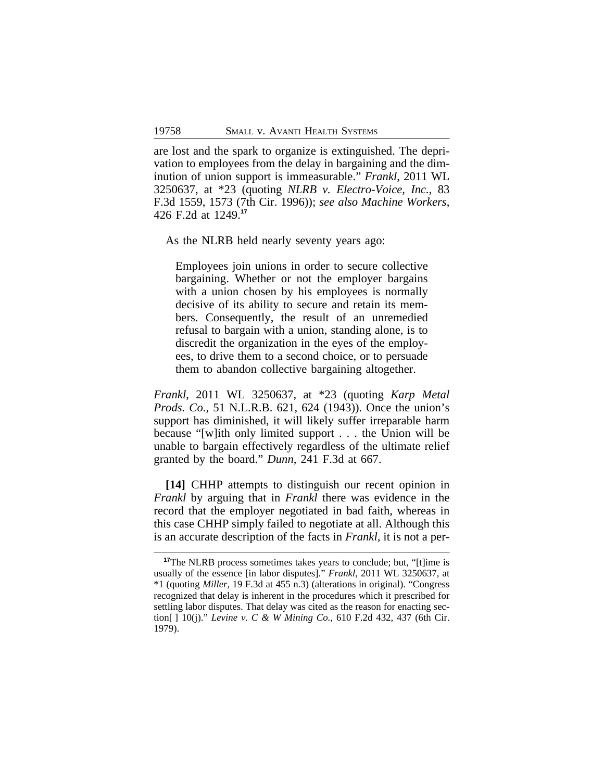are lost and the spark to organize is extinguished. The deprivation to employees from the delay in bargaining and the diminution of union support is immeasurable." *Frankl*, 2011 WL 3250637, at \*23 (quoting *NLRB v. Electro-Voice, Inc.*, 83 F.3d 1559, 1573 (7th Cir. 1996)); *see also Machine Workers*, 426 F.2d at 1249.**<sup>17</sup>**

As the NLRB held nearly seventy years ago:

Employees join unions in order to secure collective bargaining. Whether or not the employer bargains with a union chosen by his employees is normally decisive of its ability to secure and retain its members. Consequently, the result of an unremedied refusal to bargain with a union, standing alone, is to discredit the organization in the eyes of the employees, to drive them to a second choice, or to persuade them to abandon collective bargaining altogether.

*Frankl*, 2011 WL 3250637, at \*23 (quoting *Karp Metal Prods. Co.,* 51 N.L.R.B. 621, 624 (1943)). Once the union's support has diminished, it will likely suffer irreparable harm because "[w]ith only limited support . . . the Union will be unable to bargain effectively regardless of the ultimate relief granted by the board." *Dunn*, 241 F.3d at 667.

**[14]** CHHP attempts to distinguish our recent opinion in *Frankl* by arguing that in *Frankl* there was evidence in the record that the employer negotiated in bad faith, whereas in this case CHHP simply failed to negotiate at all. Although this is an accurate description of the facts in *Frankl,* it is not a per-

**<sup>17</sup>**The NLRB process sometimes takes years to conclude; but, "[t]ime is usually of the essence [in labor disputes]." *Frankl*, 2011 WL 3250637, at \*1 (quoting *Miller*, 19 F.3d at 455 n.3) (alterations in original). "Congress recognized that delay is inherent in the procedures which it prescribed for settling labor disputes. That delay was cited as the reason for enacting section[ ] 10(j)." *Levine v. C & W Mining Co.*, 610 F.2d 432, 437 (6th Cir. 1979).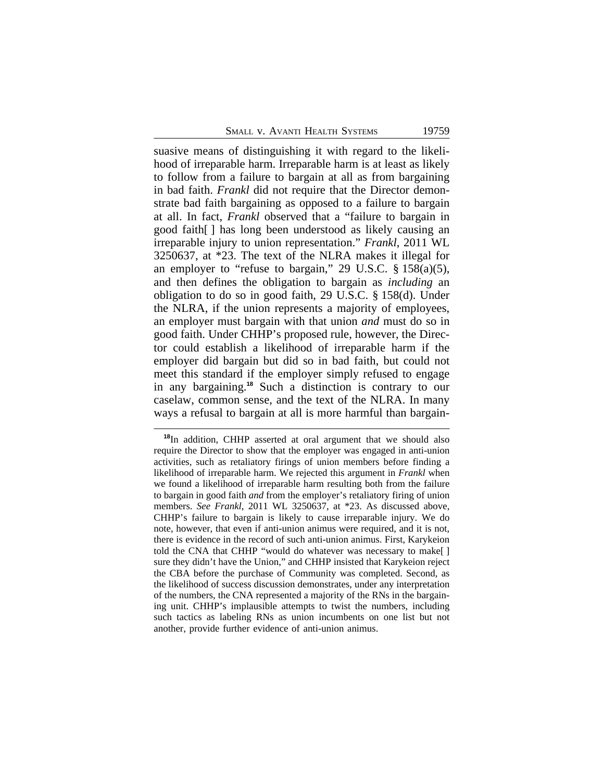suasive means of distinguishing it with regard to the likelihood of irreparable harm. Irreparable harm is at least as likely to follow from a failure to bargain at all as from bargaining in bad faith. *Frankl* did not require that the Director demonstrate bad faith bargaining as opposed to a failure to bargain at all. In fact, *Frankl* observed that a "failure to bargain in good faith[ ] has long been understood as likely causing an irreparable injury to union representation." *Frankl*, 2011 WL 3250637, at \*23. The text of the NLRA makes it illegal for an employer to "refuse to bargain," 29 U.S.C.  $\S$  158(a)(5), and then defines the obligation to bargain as *including* an obligation to do so in good faith, 29 U.S.C. § 158(d). Under the NLRA, if the union represents a majority of employees, an employer must bargain with that union *and* must do so in good faith. Under CHHP's proposed rule, however, the Director could establish a likelihood of irreparable harm if the employer did bargain but did so in bad faith, but could not meet this standard if the employer simply refused to engage in any bargaining.**<sup>18</sup>** Such a distinction is contrary to our caselaw, common sense, and the text of the NLRA. In many ways a refusal to bargain at all is more harmful than bargain-

**<sup>18</sup>**In addition, CHHP asserted at oral argument that we should also require the Director to show that the employer was engaged in anti-union activities, such as retaliatory firings of union members before finding a likelihood of irreparable harm. We rejected this argument in *Frankl* when we found a likelihood of irreparable harm resulting both from the failure to bargain in good faith *and* from the employer's retaliatory firing of union members. *See Frankl*, 2011 WL 3250637, at \*23. As discussed above, CHHP's failure to bargain is likely to cause irreparable injury. We do note, however, that even if anti-union animus were required, and it is not, there is evidence in the record of such anti-union animus. First, Karykeion told the CNA that CHHP "would do whatever was necessary to make[ ] sure they didn't have the Union," and CHHP insisted that Karykeion reject the CBA before the purchase of Community was completed. Second, as the likelihood of success discussion demonstrates, under any interpretation of the numbers, the CNA represented a majority of the RNs in the bargaining unit. CHHP's implausible attempts to twist the numbers, including such tactics as labeling RNs as union incumbents on one list but not another, provide further evidence of anti-union animus.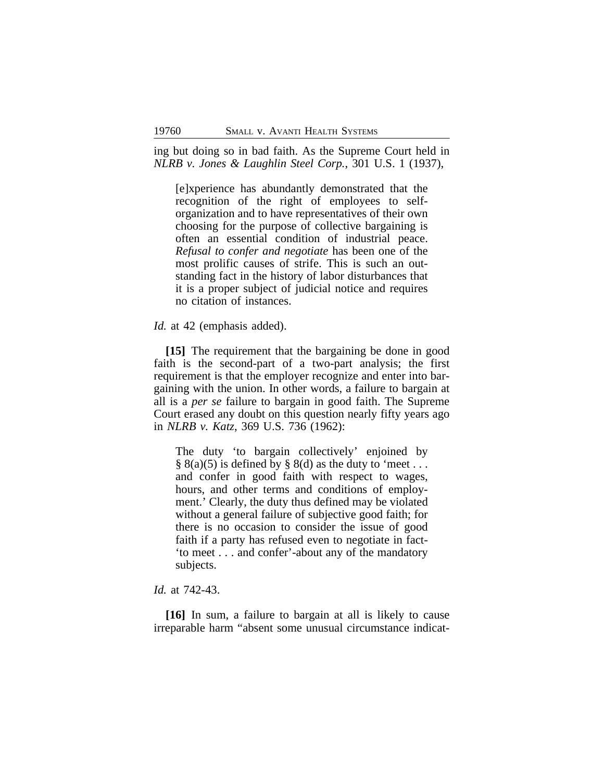ing but doing so in bad faith. As the Supreme Court held in *NLRB v. Jones & Laughlin Steel Corp.*, 301 U.S. 1 (1937),

[e]xperience has abundantly demonstrated that the recognition of the right of employees to selforganization and to have representatives of their own choosing for the purpose of collective bargaining is often an essential condition of industrial peace. *Refusal to confer and negotiate* has been one of the most prolific causes of strife. This is such an outstanding fact in the history of labor disturbances that it is a proper subject of judicial notice and requires no citation of instances.

*Id.* at 42 (emphasis added).

**[15]** The requirement that the bargaining be done in good faith is the second-part of a two-part analysis; the first requirement is that the employer recognize and enter into bargaining with the union. In other words, a failure to bargain at all is a *per se* failure to bargain in good faith. The Supreme Court erased any doubt on this question nearly fifty years ago in *NLRB v. Katz*, 369 U.S. 736 (1962):

The duty 'to bargain collectively' enjoined by  $\S$  8(a)(5) is defined by  $\S$  8(d) as the duty to 'meet ... and confer in good faith with respect to wages, hours, and other terms and conditions of employment.' Clearly, the duty thus defined may be violated without a general failure of subjective good faith; for there is no occasion to consider the issue of good faith if a party has refused even to negotiate in fact- 'to meet . . . and confer'-about any of the mandatory subjects.

#### *Id.* at 742-43.

**[16]** In sum, a failure to bargain at all is likely to cause irreparable harm "absent some unusual circumstance indicat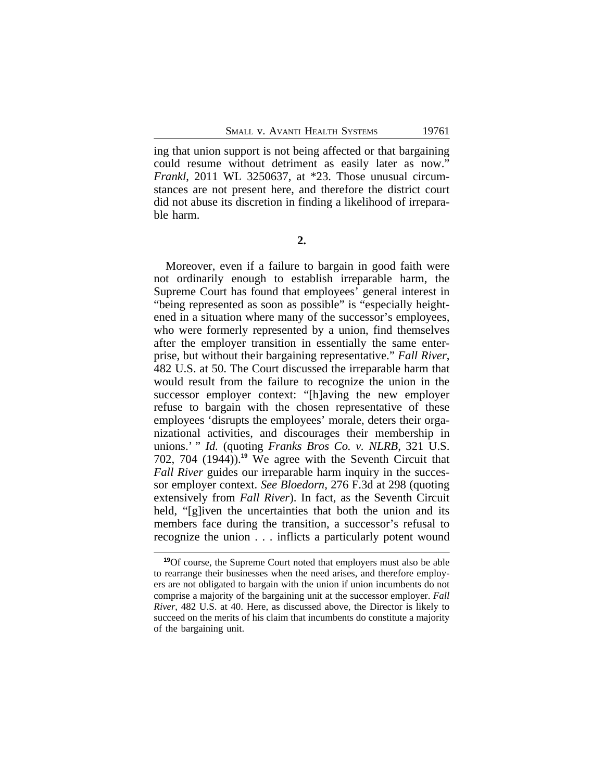ing that union support is not being affected or that bargaining could resume without detriment as easily later as now." *Frankl*, 2011 WL 3250637, at \*23. Those unusual circumstances are not present here, and therefore the district court did not abuse its discretion in finding a likelihood of irreparable harm.

**2.**

Moreover, even if a failure to bargain in good faith were not ordinarily enough to establish irreparable harm, the Supreme Court has found that employees' general interest in "being represented as soon as possible" is "especially heightened in a situation where many of the successor's employees, who were formerly represented by a union, find themselves after the employer transition in essentially the same enterprise, but without their bargaining representative." *Fall River*, 482 U.S. at 50. The Court discussed the irreparable harm that would result from the failure to recognize the union in the successor employer context: "[h]aving the new employer refuse to bargain with the chosen representative of these employees 'disrupts the employees' morale, deters their organizational activities, and discourages their membership in unions.' " *Id.* (quoting *Franks Bros Co. v. NLRB*, 321 U.S. 702, 704 (1944)).**<sup>19</sup>** We agree with the Seventh Circuit that *Fall River* guides our irreparable harm inquiry in the successor employer context. *See Bloedorn*, 276 F.3d at 298 (quoting extensively from *Fall River*). In fact, as the Seventh Circuit held, "[g]iven the uncertainties that both the union and its members face during the transition, a successor's refusal to recognize the union . . . inflicts a particularly potent wound

**<sup>19</sup>**Of course, the Supreme Court noted that employers must also be able to rearrange their businesses when the need arises, and therefore employers are not obligated to bargain with the union if union incumbents do not comprise a majority of the bargaining unit at the successor employer. *Fall River*, 482 U.S. at 40. Here, as discussed above, the Director is likely to succeed on the merits of his claim that incumbents do constitute a majority of the bargaining unit.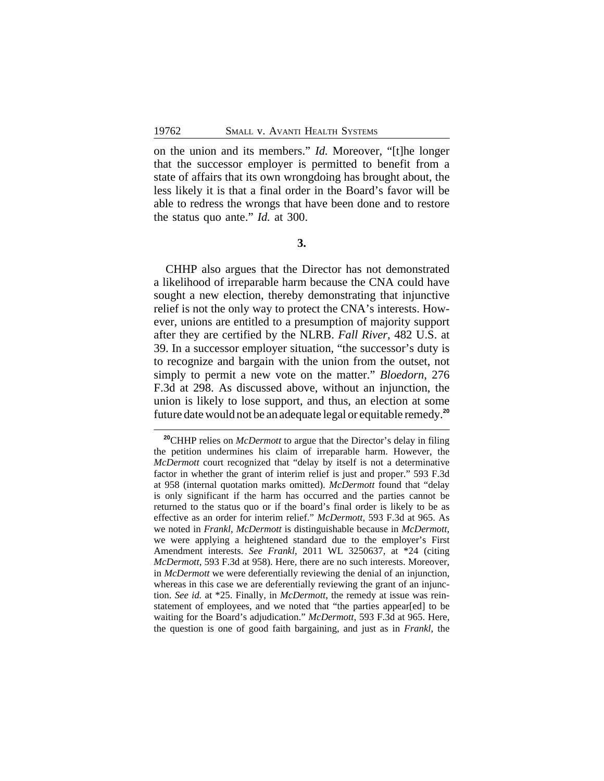on the union and its members." *Id.* Moreover, "[t]he longer that the successor employer is permitted to benefit from a state of affairs that its own wrongdoing has brought about, the less likely it is that a final order in the Board's favor will be able to redress the wrongs that have been done and to restore the status quo ante." *Id.* at 300.

**3.**

CHHP also argues that the Director has not demonstrated a likelihood of irreparable harm because the CNA could have sought a new election, thereby demonstrating that injunctive relief is not the only way to protect the CNA's interests. However, unions are entitled to a presumption of majority support after they are certified by the NLRB. *Fall River*, 482 U.S. at 39. In a successor employer situation, "the successor's duty is to recognize and bargain with the union from the outset, not simply to permit a new vote on the matter." *Bloedorn*, 276 F.3d at 298. As discussed above, without an injunction, the union is likely to lose support, and thus, an election at some future date would not be an adequate legal or equitable remedy.**<sup>20</sup>**

**<sup>20</sup>**CHHP relies on *McDermott* to argue that the Director's delay in filing the petition undermines his claim of irreparable harm. However, the *McDermott* court recognized that "delay by itself is not a determinative factor in whether the grant of interim relief is just and proper." 593 F.3d at 958 (internal quotation marks omitted). *McDermott* found that "delay is only significant if the harm has occurred and the parties cannot be returned to the status quo or if the board's final order is likely to be as effective as an order for interim relief." *McDermott*, 593 F.3d at 965. As we noted in *Frankl*, *McDermott* is distinguishable because in *McDermott*, we were applying a heightened standard due to the employer's First Amendment interests. *See Frankl*, 2011 WL 3250637, at \*24 (citing *McDermott*, 593 F.3d at 958). Here, there are no such interests. Moreover, in *McDermott* we were deferentially reviewing the denial of an injunction, whereas in this case we are deferentially reviewing the grant of an injunction. *See id.* at \*25. Finally, in *McDermott*, the remedy at issue was reinstatement of employees, and we noted that "the parties appear[ed] to be waiting for the Board's adjudication." *McDermott*, 593 F.3d at 965. Here, the question is one of good faith bargaining, and just as in *Frankl*, the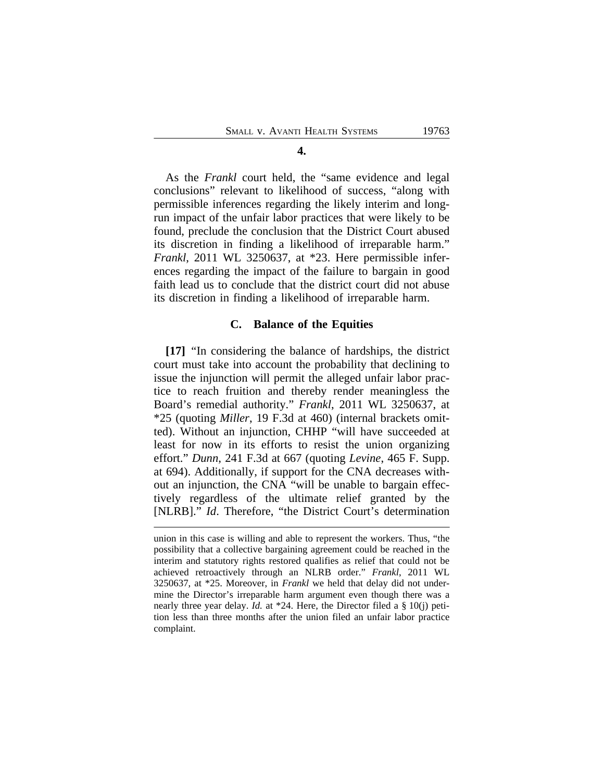As the *Frankl* court held, the "same evidence and legal conclusions" relevant to likelihood of success, "along with permissible inferences regarding the likely interim and longrun impact of the unfair labor practices that were likely to be found, preclude the conclusion that the District Court abused its discretion in finding a likelihood of irreparable harm." *Frankl*, 2011 WL 3250637, at \*23. Here permissible inferences regarding the impact of the failure to bargain in good faith lead us to conclude that the district court did not abuse its discretion in finding a likelihood of irreparable harm.

#### **C. Balance of the Equities**

**[17]** "In considering the balance of hardships, the district court must take into account the probability that declining to issue the injunction will permit the alleged unfair labor practice to reach fruition and thereby render meaningless the Board's remedial authority." *Frankl*, 2011 WL 3250637, at \*25 (quoting *Miller*, 19 F.3d at 460) (internal brackets omitted). Without an injunction, CHHP "will have succeeded at least for now in its efforts to resist the union organizing effort." *Dunn*, 241 F.3d at 667 (quoting *Levine*, 465 F. Supp. at 694). Additionally, if support for the CNA decreases without an injunction, the CNA "will be unable to bargain effectively regardless of the ultimate relief granted by the [NLRB]." *Id*. Therefore, "the District Court's determination

## **4.**

union in this case is willing and able to represent the workers. Thus, "the possibility that a collective bargaining agreement could be reached in the interim and statutory rights restored qualifies as relief that could not be achieved retroactively through an NLRB order." *Frankl*, 2011 WL 3250637, at \*25. Moreover, in *Frankl* we held that delay did not undermine the Director's irreparable harm argument even though there was a nearly three year delay. *Id.* at \*24. Here, the Director filed a § 10(j) petition less than three months after the union filed an unfair labor practice complaint.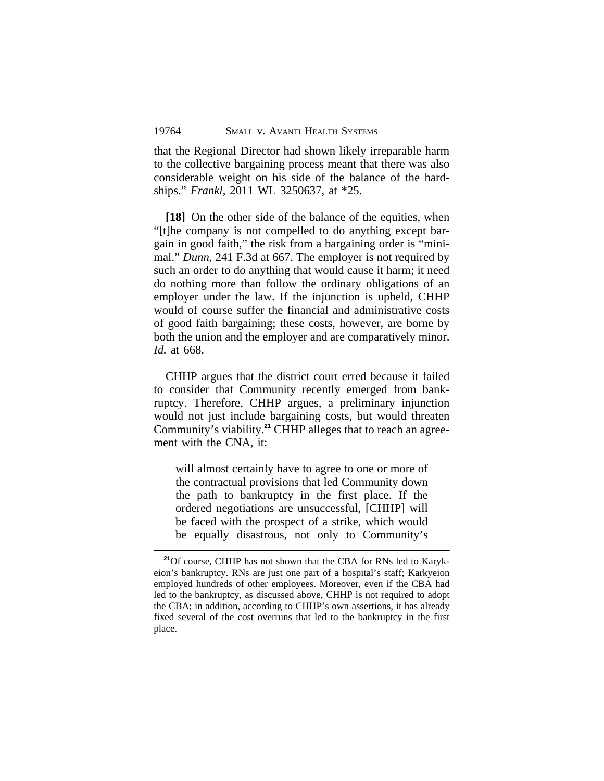that the Regional Director had shown likely irreparable harm to the collective bargaining process meant that there was also considerable weight on his side of the balance of the hardships." *Frankl*, 2011 WL 3250637, at \*25.

[18] On the other side of the balance of the equities, when "[t]he company is not compelled to do anything except bargain in good faith," the risk from a bargaining order is "minimal." *Dunn*, 241 F.3d at 667. The employer is not required by such an order to do anything that would cause it harm; it need do nothing more than follow the ordinary obligations of an employer under the law. If the injunction is upheld, CHHP would of course suffer the financial and administrative costs of good faith bargaining; these costs, however, are borne by both the union and the employer and are comparatively minor. *Id.* at 668.

CHHP argues that the district court erred because it failed to consider that Community recently emerged from bankruptcy. Therefore, CHHP argues, a preliminary injunction would not just include bargaining costs, but would threaten Community's viability.**21** CHHP alleges that to reach an agreement with the CNA, it:

will almost certainly have to agree to one or more of the contractual provisions that led Community down the path to bankruptcy in the first place. If the ordered negotiations are unsuccessful, [CHHP] will be faced with the prospect of a strike, which would be equally disastrous, not only to Community's

**<sup>21</sup>**Of course, CHHP has not shown that the CBA for RNs led to Karykeion's bankruptcy. RNs are just one part of a hospital's staff; Karkyeion employed hundreds of other employees. Moreover, even if the CBA had led to the bankruptcy, as discussed above, CHHP is not required to adopt the CBA; in addition, according to CHHP's own assertions, it has already fixed several of the cost overruns that led to the bankruptcy in the first place.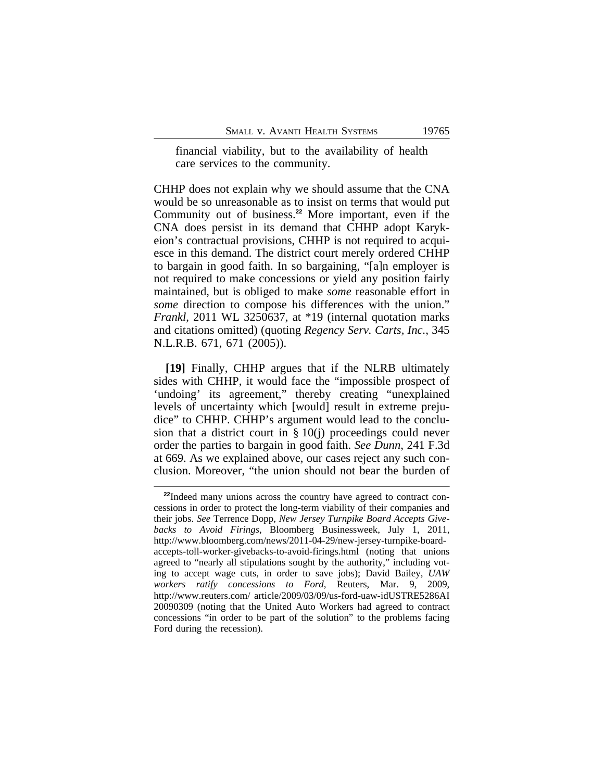financial viability, but to the availability of health care services to the community.

CHHP does not explain why we should assume that the CNA would be so unreasonable as to insist on terms that would put Community out of business.**<sup>22</sup>** More important, even if the CNA does persist in its demand that CHHP adopt Karykeion's contractual provisions, CHHP is not required to acquiesce in this demand. The district court merely ordered CHHP to bargain in good faith. In so bargaining, "[a]n employer is not required to make concessions or yield any position fairly maintained, but is obliged to make *some* reasonable effort in *some* direction to compose his differences with the union." *Frankl*, 2011 WL 3250637, at \*19 (internal quotation marks and citations omitted) (quoting *Regency Serv. Carts, Inc.*, 345 N.L.R.B. 671, 671 (2005)).

**[19]** Finally, CHHP argues that if the NLRB ultimately sides with CHHP, it would face the "impossible prospect of 'undoing' its agreement," thereby creating "unexplained levels of uncertainty which [would] result in extreme prejudice" to CHHP. CHHP's argument would lead to the conclusion that a district court in  $\S 10(i)$  proceedings could never order the parties to bargain in good faith. *See Dunn*, 241 F.3d at 669. As we explained above, our cases reject any such conclusion. Moreover, "the union should not bear the burden of

**<sup>22</sup>**Indeed many unions across the country have agreed to contract concessions in order to protect the long-term viability of their companies and their jobs. *See* Terrence Dopp, *New Jersey Turnpike Board Accepts Givebacks to Avoid Firings*, Bloomberg Businessweek, July 1, 2011, http://www.bloomberg.com/news/2011-04-29/new-jersey-turnpike-boardaccepts-toll-worker-givebacks-to-avoid-firings.html (noting that unions agreed to "nearly all stipulations sought by the authority," including voting to accept wage cuts, in order to save jobs); David Bailey, *UAW workers ratify concessions to Ford*, Reuters, Mar. 9, 2009, http://www.reuters.com/ article/2009/03/09/us-ford-uaw-idUSTRE5286AI 20090309 (noting that the United Auto Workers had agreed to contract concessions "in order to be part of the solution" to the problems facing Ford during the recession).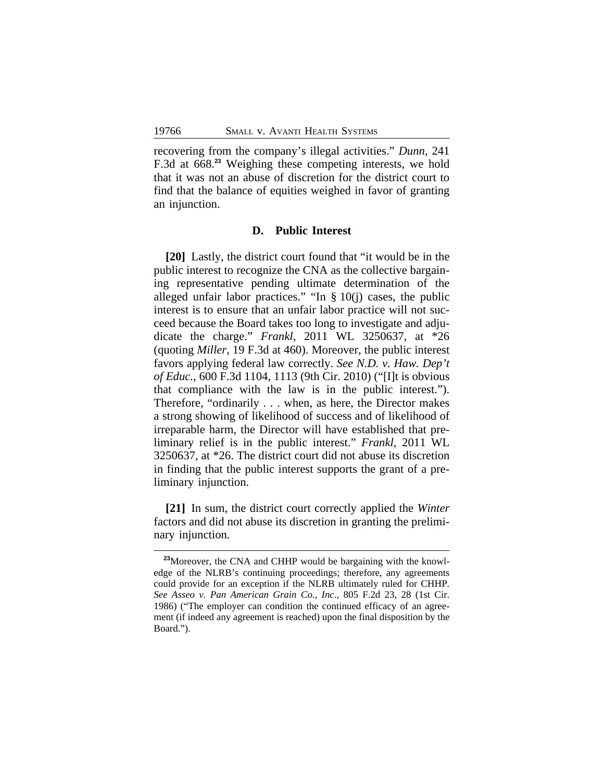recovering from the company's illegal activities." *Dunn*, 241 F.3d at 668.**<sup>23</sup>** Weighing these competing interests, we hold that it was not an abuse of discretion for the district court to find that the balance of equities weighed in favor of granting an injunction.

#### **D. Public Interest**

**[20]** Lastly, the district court found that "it would be in the public interest to recognize the CNA as the collective bargaining representative pending ultimate determination of the alleged unfair labor practices." "In § 10(j) cases, the public interest is to ensure that an unfair labor practice will not succeed because the Board takes too long to investigate and adjudicate the charge." *Frankl*, 2011 WL 3250637, at \*26 (quoting *Miller*, 19 F.3d at 460). Moreover, the public interest favors applying federal law correctly. *See N.D. v. Haw. Dep't of Educ.*, 600 F.3d 1104, 1113 (9th Cir. 2010) ("[I]t is obvious that compliance with the law is in the public interest."). Therefore, "ordinarily . . . when, as here, the Director makes a strong showing of likelihood of success and of likelihood of irreparable harm, the Director will have established that preliminary relief is in the public interest." *Frankl*, 2011 WL 3250637, at \*26. The district court did not abuse its discretion in finding that the public interest supports the grant of a preliminary injunction.

**[21]** In sum, the district court correctly applied the *Winter* factors and did not abuse its discretion in granting the preliminary injunction.

**<sup>23</sup>**Moreover, the CNA and CHHP would be bargaining with the knowledge of the NLRB's continuing proceedings; therefore, any agreements could provide for an exception if the NLRB ultimately ruled for CHHP*. See Asseo v. Pan American Grain Co., Inc*., 805 F.2d 23, 28 (1st Cir. 1986) ("The employer can condition the continued efficacy of an agreement (if indeed any agreement is reached) upon the final disposition by the Board.").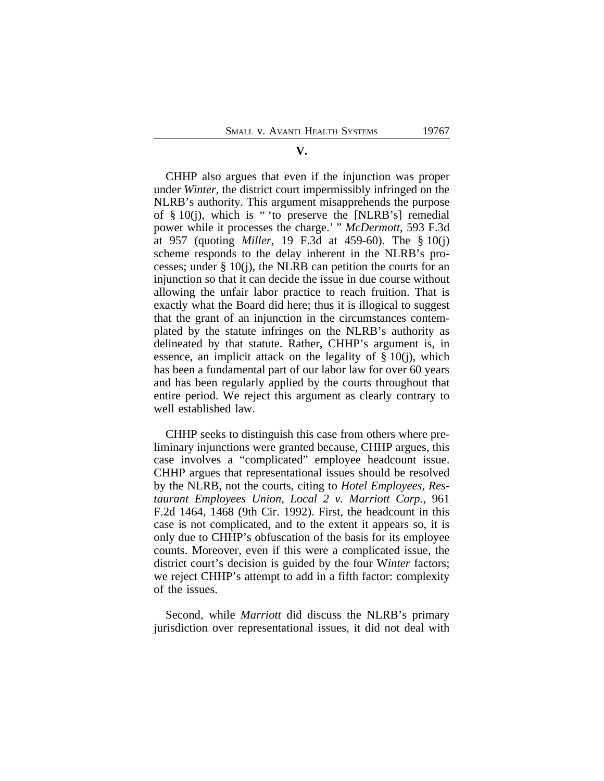# CHHP also argues that even if the injunction was proper under *Winter*, the district court impermissibly infringed on the NLRB's authority. This argument misapprehends the purpose of  $§ 10(i)$ , which is " to preserve the [NLRB's] remedial power while it processes the charge.' " *McDermott*, 593 F.3d at 957 (quoting *Miller*, 19 F.3d at 459-60). The § 10(j) scheme responds to the delay inherent in the NLRB's processes; under § 10(j), the NLRB can petition the courts for an injunction so that it can decide the issue in due course without allowing the unfair labor practice to reach fruition. That is exactly what the Board did here; thus it is illogical to suggest that the grant of an injunction in the circumstances contemplated by the statute infringes on the NLRB's authority as delineated by that statute. Rather, CHHP's argument is, in essence, an implicit attack on the legality of § 10(j), which has been a fundamental part of our labor law for over 60 years and has been regularly applied by the courts throughout that entire period. We reject this argument as clearly contrary to well established law.

CHHP seeks to distinguish this case from others where preliminary injunctions were granted because, CHHP argues, this case involves a "complicated" employee headcount issue. CHHP argues that representational issues should be resolved by the NLRB, not the courts, citing to *Hotel Employees, Restaurant Employees Union, Local 2 v. Marriott Corp.*, 961 F.2d 1464, 1468 (9th Cir. 1992). First, the headcount in this case is not complicated, and to the extent it appears so, it is only due to CHHP's obfuscation of the basis for its employee counts. Moreover, even if this were a complicated issue, the district court's decision is guided by the four W*inter* factors; we reject CHHP's attempt to add in a fifth factor: complexity of the issues.

Second, while *Marriott* did discuss the NLRB's primary jurisdiction over representational issues, it did not deal with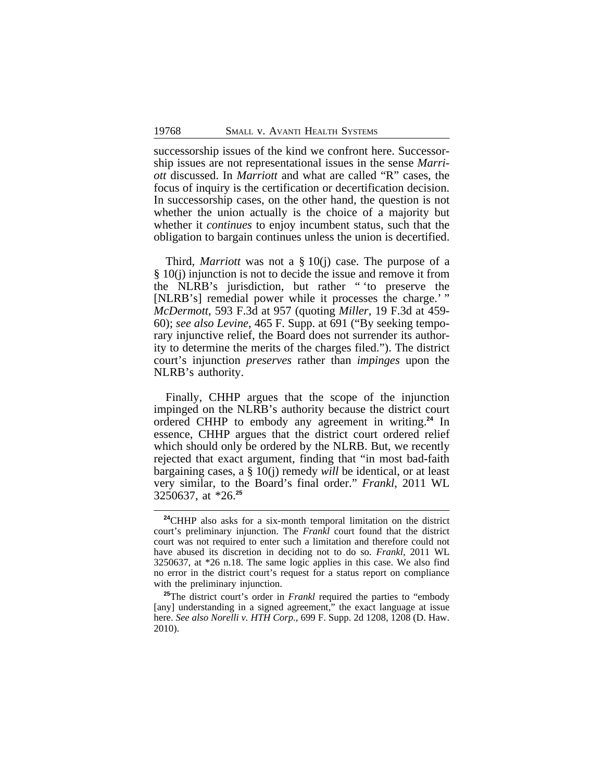successorship issues of the kind we confront here. Successorship issues are not representational issues in the sense *Marriott* discussed. In *Marriott* and what are called "R" cases, the focus of inquiry is the certification or decertification decision. In successorship cases, on the other hand, the question is not whether the union actually is the choice of a majority but whether it *continues* to enjoy incumbent status, such that the obligation to bargain continues unless the union is decertified.

Third, *Marriott* was not a § 10(j) case. The purpose of a § 10(j) injunction is not to decide the issue and remove it from the NLRB's jurisdiction, but rather " 'to preserve the [NLRB's] remedial power while it processes the charge.'" *McDermott*, 593 F.3d at 957 (quoting *Miller*, 19 F.3d at 459- 60); *see also Levine*, 465 F. Supp. at 691 ("By seeking temporary injunctive relief, the Board does not surrender its authority to determine the merits of the charges filed."). The district court's injunction *preserves* rather than *impinges* upon the NLRB's authority.

Finally, CHHP argues that the scope of the injunction impinged on the NLRB's authority because the district court ordered CHHP to embody any agreement in writing.**<sup>24</sup>** In essence, CHHP argues that the district court ordered relief which should only be ordered by the NLRB. But, we recently rejected that exact argument, finding that "in most bad-faith bargaining cases, a § 10(j) remedy *will* be identical, or at least very similar, to the Board's final order." *Frankl*, 2011 WL 3250637, at \*26.**<sup>25</sup>**

**<sup>24</sup>**CHHP also asks for a six-month temporal limitation on the district court's preliminary injunction. The *Frankl* court found that the district court was not required to enter such a limitation and therefore could not have abused its discretion in deciding not to do so. *Frankl*, 2011 WL 3250637, at \*26 n.18. The same logic applies in this case. We also find no error in the district court's request for a status report on compliance with the preliminary injunction.

<sup>&</sup>lt;sup>25</sup>The district court's order in *Frankl* required the parties to "embody" [any] understanding in a signed agreement," the exact language at issue here. *See also Norelli v. HTH Corp.*, 699 F. Supp. 2d 1208, 1208 (D. Haw. 2010).